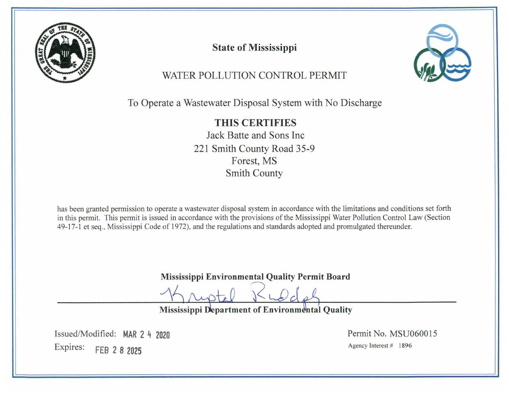

**State of Mississippi** 



# WATER POLLUTION CONTROL PERMIT

To Operate a Wastewater Disposal System with No Discharge

**THIS CERTIFIES** Jack Batte and Sons Inc. 221 Smith County Road 35-9 Forest, MS **Smith County** 

has been granted permission to operate a wastewater disposal system in accordance with the limitations and conditions set forth in this permit. This permit is issued in accordance with the provisions of the Mississippi Water Pollution Control Law (Section 49-17-1 et seq., Mississippi Code of 1972), and the regulations and standards adopted and promulgated thereunder.

**Mississippi Environmental Quality Permit Board** 

**Mississippi Department of Environmental Quality** 

Issued/Modified: MAR 2 4 2020 Expires: FEB 2 8 2025

Permit No. MSU060015 Agency Interest # 1896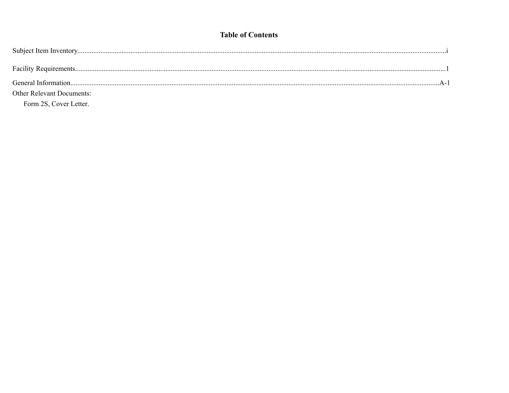### **Table of Contents**

| <b>Other Relevant Documents:</b> |  |
|----------------------------------|--|
| Form 2S, Cover Letter.           |  |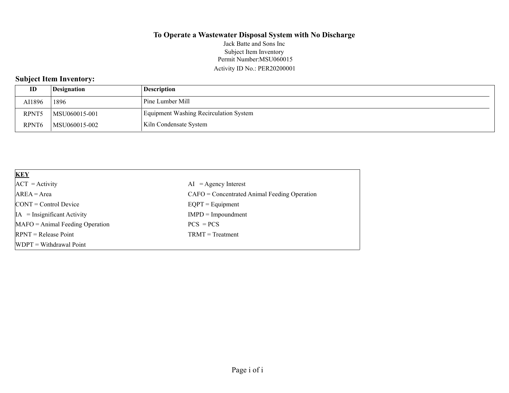#### **To Operate a Wastewater Disposal System with No Discharge** Permit Number:MSU060015 Activity ID No.: PER20200001 Jack Batte and Sons Inc Subject Item Inventory

# **Subject Item Inventory:**

| ID                | Designation   | Description                            |
|-------------------|---------------|----------------------------------------|
| AI1896            | 1896          | Pine Lumber Mill                       |
| RPNT5             | MSU060015-001 | Equipment Washing Recirculation System |
| RPNT <sub>6</sub> | MSU060015-002 | Kiln Condensate System                 |

| <b>KEY</b>                            |                                                |
|---------------------------------------|------------------------------------------------|
| $ACT = Activity$                      | $AI = Agency Interest$                         |
| $AREA = Area$                         | $CAFO =$ Concentrated Animal Feeding Operation |
| $\text{CONT} = \text{Control Device}$ | $EQPT = Equipment$                             |
| $IA = Insignificant Activity$         | $IMPD = Important$                             |
| $MAFO = Animal Feeding Operation$     | $PCS = PCs$                                    |
| $RPNT = Release Point$                | $TRMT = Treatment$                             |
| $WDPT = Without$                      |                                                |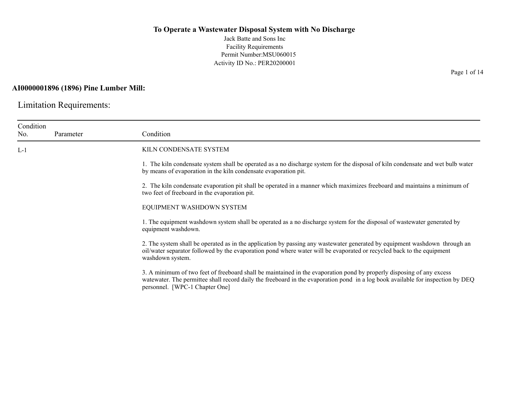Jack Batte and Sons Inc Facility Requirements Permit Number:MSU060015 Activity ID No.: PER20200001

### **AI0000001896 (1896) Pine Lumber Mill:**

Limitation Requirements:

| Condition<br>No. | Parameter | Condition                                                                                                                                                                                                                                                                                  |
|------------------|-----------|--------------------------------------------------------------------------------------------------------------------------------------------------------------------------------------------------------------------------------------------------------------------------------------------|
| $L-1$            |           | KILN CONDENSATE SYSTEM                                                                                                                                                                                                                                                                     |
|                  |           | 1. The kiln condensate system shall be operated as a no discharge system for the disposal of kiln condensate and wet bulb water<br>by means of evaporation in the kiln condensate evaporation pit.                                                                                         |
|                  |           | 2. The kiln condensate evaporation pit shall be operated in a manner which maximizes freeboard and maintains a minimum of<br>two feet of freeboard in the evaporation pit.                                                                                                                 |
|                  |           | EQUIPMENT WASHDOWN SYSTEM                                                                                                                                                                                                                                                                  |
|                  |           | 1. The equipment washdown system shall be operated as a no discharge system for the disposal of wastewater generated by<br>equipment washdown.                                                                                                                                             |
|                  |           | 2. The system shall be operated as in the application by passing any wastewater generated by equipment washdown through an<br>oil/water separator followed by the evaporation pond where water will be evaporated or recycled back to the equipment<br>washdown system.                    |
|                  |           | 3. A minimum of two feet of freeboard shall be maintained in the evaporation pond by properly disposing of any excess<br>watewater. The permittee shall record daily the freeboard in the evaporation pond in a log book available for inspection by DEQ<br>personnel. [WPC-1 Chapter One] |

Page 1 of 14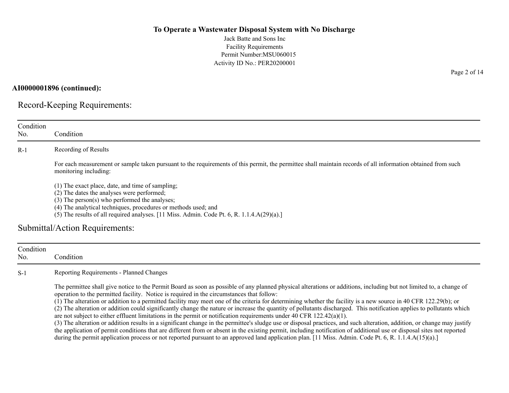Jack Batte and Sons Inc Facility Requirements Permit Number:MSU060015 Activity ID No.: PER20200001

#### **AI0000001896 (continued):**

Record-Keeping Requirements:

| Condition<br>No.<br>$R-1$ | Condition<br>Recording of Results<br>For each measurement or sample taken pursuant to the requirements of this permit, the permittee shall maintain records of all information obtained from such<br>monitoring including:<br>(1) The exact place, date, and time of sampling;<br>(2) The dates the analyses were performed;<br>(3) The person(s) who performed the analyses;<br>(4) The analytical techniques, procedures or methods used; and<br>(5) The results of all required analyses. [11 Miss. Admin. Code Pt. 6, R. 1.1.4.A(29)(a).]<br>Submittal/Action Requirements:                               |
|---------------------------|---------------------------------------------------------------------------------------------------------------------------------------------------------------------------------------------------------------------------------------------------------------------------------------------------------------------------------------------------------------------------------------------------------------------------------------------------------------------------------------------------------------------------------------------------------------------------------------------------------------|
|                           |                                                                                                                                                                                                                                                                                                                                                                                                                                                                                                                                                                                                               |
|                           |                                                                                                                                                                                                                                                                                                                                                                                                                                                                                                                                                                                                               |
|                           |                                                                                                                                                                                                                                                                                                                                                                                                                                                                                                                                                                                                               |
|                           |                                                                                                                                                                                                                                                                                                                                                                                                                                                                                                                                                                                                               |
|                           |                                                                                                                                                                                                                                                                                                                                                                                                                                                                                                                                                                                                               |
|                           |                                                                                                                                                                                                                                                                                                                                                                                                                                                                                                                                                                                                               |
|                           |                                                                                                                                                                                                                                                                                                                                                                                                                                                                                                                                                                                                               |
|                           |                                                                                                                                                                                                                                                                                                                                                                                                                                                                                                                                                                                                               |
|                           |                                                                                                                                                                                                                                                                                                                                                                                                                                                                                                                                                                                                               |
|                           |                                                                                                                                                                                                                                                                                                                                                                                                                                                                                                                                                                                                               |
| Condition                 |                                                                                                                                                                                                                                                                                                                                                                                                                                                                                                                                                                                                               |
| No.                       | Condition                                                                                                                                                                                                                                                                                                                                                                                                                                                                                                                                                                                                     |
| $S-1$                     | Reporting Requirements - Planned Changes                                                                                                                                                                                                                                                                                                                                                                                                                                                                                                                                                                      |
|                           | The permittee shall give notice to the Permit Board as soon as possible of any planned physical alterations or additions, including but not limited to, a change of<br>operation to the permitted facility. Notice is required in the circumstances that follow:<br>(1) The alteration or addition to a permitted facility may meet one of the criteria for determining whether the facility is a new source in 40 CFR 122.29(b); or<br>(2) The alteration or addition could significantly change the nature or increase the quantity of pollutants discharged. This notification applies to pollutants which |

(3) The alteration or addition results in a significant change in the permittee's sludge use or disposal practices, and such alteration, addition, or change may justify the application of permit conditions that are different from or absent in the existing permit, including notification of additional use or disposal sites not reported during the permit application process or not reported pursuant to an approved land application plan. [11 Miss. Admin. Code Pt. 6, R. 1.1.4.A(15)(a).]

Page 2 of 14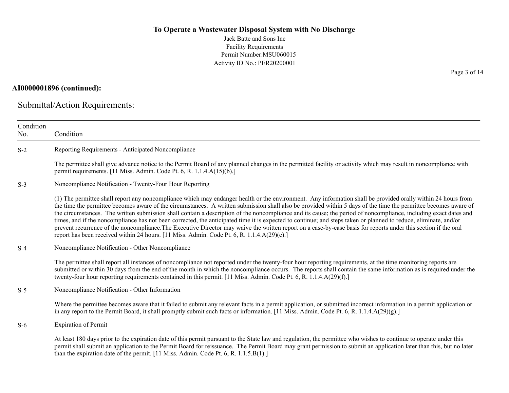Jack Batte and Sons Inc Facility Requirements Permit Number:MSU060015 Activity ID No.: PER20200001

### **AI0000001896 (continued):**

Submittal/Action Requirements:

| Condition<br>No. | Condition                                                                                                                                                                                                                                                                                                                                                                                                                                                                                                                                                                                                                                                                                                                                                                                                                                                                                                                                |
|------------------|------------------------------------------------------------------------------------------------------------------------------------------------------------------------------------------------------------------------------------------------------------------------------------------------------------------------------------------------------------------------------------------------------------------------------------------------------------------------------------------------------------------------------------------------------------------------------------------------------------------------------------------------------------------------------------------------------------------------------------------------------------------------------------------------------------------------------------------------------------------------------------------------------------------------------------------|
| $S-2$            | Reporting Requirements - Anticipated Noncompliance                                                                                                                                                                                                                                                                                                                                                                                                                                                                                                                                                                                                                                                                                                                                                                                                                                                                                       |
|                  | The permittee shall give advance notice to the Permit Board of any planned changes in the permitted facility or activity which may result in noncompliance with<br>permit requirements. [11 Miss. Admin. Code Pt. 6, R. 1.1.4.A(15)(b).]                                                                                                                                                                                                                                                                                                                                                                                                                                                                                                                                                                                                                                                                                                 |
| $S-3$            | Noncompliance Notification - Twenty-Four Hour Reporting                                                                                                                                                                                                                                                                                                                                                                                                                                                                                                                                                                                                                                                                                                                                                                                                                                                                                  |
|                  | (1) The permittee shall report any noncompliance which may endanger health or the environment. Any information shall be provided orally within 24 hours from<br>the time the permittee becomes aware of the circumstances. A written submission shall also be provided within 5 days of the time the permittee becomes aware of<br>the circumstances. The written submission shall contain a description of the noncompliance and its cause; the period of noncompliance, including exact dates and<br>times, and if the noncompliance has not been corrected, the anticipated time it is expected to continue; and steps taken or planned to reduce, eliminate, and/or<br>prevent recurrence of the noncompliance. The Executive Director may waive the written report on a case-by-case basis for reports under this section if the oral<br>report has been received within 24 hours. [11 Miss. Admin. Code Pt. 6, R. 1.1.4.A(29)(e).] |
| $S-4$            | Noncompliance Notification - Other Noncompliance                                                                                                                                                                                                                                                                                                                                                                                                                                                                                                                                                                                                                                                                                                                                                                                                                                                                                         |
|                  | The permittee shall report all instances of noncompliance not reported under the twenty-four hour reporting requirements, at the time monitoring reports are<br>submitted or within 30 days from the end of the month in which the noncompliance occurs. The reports shall contain the same information as is required under the<br>twenty-four hour reporting requirements contained in this permit. [11 Miss. Admin. Code Pt. 6, R. 1.1.4.A(29)(f).]                                                                                                                                                                                                                                                                                                                                                                                                                                                                                   |
| $S-5$            | Noncompliance Notification - Other Information                                                                                                                                                                                                                                                                                                                                                                                                                                                                                                                                                                                                                                                                                                                                                                                                                                                                                           |
|                  | Where the permittee becomes aware that it failed to submit any relevant facts in a permit application, or submitted incorrect information in a permit application or<br>in any report to the Permit Board, it shall promptly submit such facts or information. [11 Miss. Admin. Code Pt. 6, R. 1.1.4.A(29)(g).]                                                                                                                                                                                                                                                                                                                                                                                                                                                                                                                                                                                                                          |
| $S-6$            | <b>Expiration of Permit</b>                                                                                                                                                                                                                                                                                                                                                                                                                                                                                                                                                                                                                                                                                                                                                                                                                                                                                                              |
|                  | At least 180 days prior to the expiration date of this permit pursuant to the State law and regulation, the permittee who wishes to continue to operate under this<br>permit shall submit an application to the Permit Board for reissuance. The Permit Board may grant permission to submit an application later than this, but no later<br>than the expiration date of the permit. [11 Miss. Admin. Code Pt. 6, R. $1.1.5.B(1).$ ]                                                                                                                                                                                                                                                                                                                                                                                                                                                                                                     |

Page 3 of 14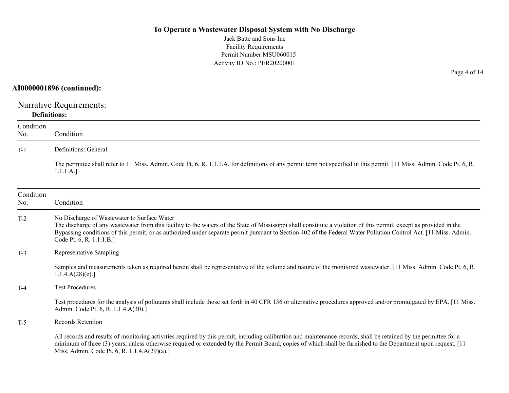Jack Batte and Sons Inc Facility Requirements Permit Number:MSU060015 Activity ID No.: PER20200001

### **AI0000001896 (continued):**

Narrative Requirements: **Definitions:**

| Condition<br>No. | Condition                                                                                                                                                                                                                                                                                                                                                                                                          |
|------------------|--------------------------------------------------------------------------------------------------------------------------------------------------------------------------------------------------------------------------------------------------------------------------------------------------------------------------------------------------------------------------------------------------------------------|
| $T-1$            | Definitions: General                                                                                                                                                                                                                                                                                                                                                                                               |
|                  | The permittee shall refer to 11 Miss. Admin. Code Pt. 6, R. 1.1.1.A. for definitions of any permit term not specified in this permit. [11 Miss. Admin. Code Pt. 6, R.<br>1.1.1.A.]                                                                                                                                                                                                                                 |
| Condition<br>No. | Condition                                                                                                                                                                                                                                                                                                                                                                                                          |
| $T-2$            | No Discharge of Wastewater to Surface Water<br>The discharge of any wastewater from this facility to the waters of the State of Mississippi shall constitute a violation of this permit, except as provided in the<br>Bypassing conditions of this permit, or as authorized under separate permit pursuant to Section 402 of the Federal Water Pollution Control Act. [11 Miss. Admin.<br>Code Pt. 6, R. 1.1.1.B.] |
| $T-3$            | Representative Sampling                                                                                                                                                                                                                                                                                                                                                                                            |
|                  | Samples and measurements taken as required herein shall be representative of the volume and nature of the monitored wastewater. [11 Miss. Admin. Code Pt. 6, R.<br>1.1.4.A(28)(e).                                                                                                                                                                                                                                 |
| $T-4$            | <b>Test Procedures</b>                                                                                                                                                                                                                                                                                                                                                                                             |
|                  | Test procedures for the analysis of pollutants shall include those set forth in 40 CFR 136 or alternative procedures approved and/or promulgated by EPA. [11 Miss.]<br>Admin. Code Pt. 6, R. 1.1.4.A(30).]                                                                                                                                                                                                         |
| $T-5$            | <b>Records Retention</b>                                                                                                                                                                                                                                                                                                                                                                                           |
|                  | All records and results of monitoring activities required by this permit, including calibration and maintenance records, shall be retained by the permittee for a<br>minimum of three (3) years, unless otherwise required or extended by the Permit Board, copies of which shall be furnished to the Department upon request. [11]<br>Miss. Admin. Code Pt. 6, R. 1.1.4.A(29)(a).]                                |

Page 4 of 14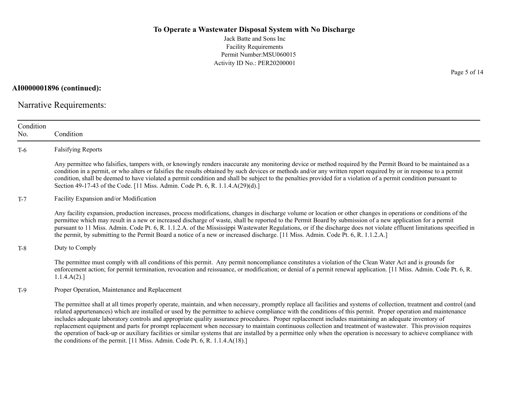Jack Batte and Sons Inc Facility Requirements Permit Number:MSU060015 Activity ID No.: PER20200001

**AI0000001896 (continued):**

Narrative Requirements:

| Condition<br>No. | Condition                                                                                                                                                                                                                                                                                                                                                                                                                                                                                                                                                                                                                                                                                                                                                                                                                                                                                                                |
|------------------|--------------------------------------------------------------------------------------------------------------------------------------------------------------------------------------------------------------------------------------------------------------------------------------------------------------------------------------------------------------------------------------------------------------------------------------------------------------------------------------------------------------------------------------------------------------------------------------------------------------------------------------------------------------------------------------------------------------------------------------------------------------------------------------------------------------------------------------------------------------------------------------------------------------------------|
| $T-6$            | <b>Falsifying Reports</b>                                                                                                                                                                                                                                                                                                                                                                                                                                                                                                                                                                                                                                                                                                                                                                                                                                                                                                |
|                  | Any permittee who falsifies, tampers with, or knowingly renders inaccurate any monitoring device or method required by the Permit Board to be maintained as a<br>condition in a permit, or who alters or falsifies the results obtained by such devices or methods and/or any written report required by or in response to a permit<br>condition, shall be deemed to have violated a permit condition and shall be subject to the penalties provided for a violation of a permit condition pursuant to<br>Section 49-17-43 of the Code. [11 Miss. Admin. Code Pt. 6, R. 1.1.4.A(29)(d).]                                                                                                                                                                                                                                                                                                                                 |
| $T-7$            | Facility Expansion and/or Modification                                                                                                                                                                                                                                                                                                                                                                                                                                                                                                                                                                                                                                                                                                                                                                                                                                                                                   |
|                  | Any facility expansion, production increases, process modifications, changes in discharge volume or location or other changes in operations or conditions of the<br>permittee which may result in a new or increased discharge of waste, shall be reported to the Permit Board by submission of a new application for a permit<br>pursuant to 11 Miss. Admin. Code Pt. 6, R. 1.1.2.A. of the Mississippi Wastewater Regulations, or if the discharge does not violate effluent limitations specified in<br>the permit, by submitting to the Permit Board a notice of a new or increased discharge. [11 Miss. Admin. Code Pt. 6, R. 1.1.2.A.]                                                                                                                                                                                                                                                                             |
| $T-8$            | Duty to Comply                                                                                                                                                                                                                                                                                                                                                                                                                                                                                                                                                                                                                                                                                                                                                                                                                                                                                                           |
|                  | The permittee must comply with all conditions of this permit. Any permit noncompliance constitutes a violation of the Clean Water Act and is grounds for<br>enforcement action; for permit termination, revocation and reissuance, or modification; or denial of a permit renewal application. [11 Miss. Admin. Code Pt. 6, R.<br>1.1.4.A(2).                                                                                                                                                                                                                                                                                                                                                                                                                                                                                                                                                                            |
| $T-9$            | Proper Operation, Maintenance and Replacement                                                                                                                                                                                                                                                                                                                                                                                                                                                                                                                                                                                                                                                                                                                                                                                                                                                                            |
|                  | The permittee shall at all times properly operate, maintain, and when necessary, promptly replace all facilities and systems of collection, treatment and control (and<br>related appurtenances) which are installed or used by the permittee to achieve compliance with the conditions of this permit. Proper operation and maintenance<br>includes adequate laboratory controls and appropriate quality assurance procedures. Proper replacement includes maintaining an adequate inventory of<br>replacement equipment and parts for prompt replacement when necessary to maintain continuous collection and treatment of wastewater. This provision requires<br>the operation of back-up or auxiliary facilities or similar systems that are installed by a permittee only when the operation is necessary to achieve compliance with<br>the conditions of the permit. [11 Miss. Admin. Code Pt. 6, R. 1.1.4.A(18).] |

Page 5 of 14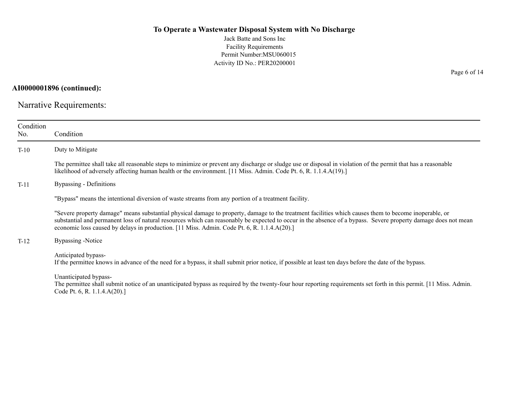Jack Batte and Sons Inc Facility Requirements Permit Number:MSU060015 Activity ID No.: PER20200001

**AI0000001896 (continued):**

Narrative Requirements:

| Condition<br>No. | Condition                                                                                                                                                                                                                                                                                                                                                                                                              |
|------------------|------------------------------------------------------------------------------------------------------------------------------------------------------------------------------------------------------------------------------------------------------------------------------------------------------------------------------------------------------------------------------------------------------------------------|
| $T-10$           | Duty to Mitigate                                                                                                                                                                                                                                                                                                                                                                                                       |
|                  | The permittee shall take all reasonable steps to minimize or prevent any discharge or sludge use or disposal in violation of the permit that has a reasonable<br>likelihood of adversely affecting human health or the environment. [11 Miss. Admin. Code Pt. 6, R. 1.1.4.A(19).]                                                                                                                                      |
| $T-11$           | Bypassing - Definitions                                                                                                                                                                                                                                                                                                                                                                                                |
|                  | "Bypass" means the intentional diversion of waste streams from any portion of a treatment facility.                                                                                                                                                                                                                                                                                                                    |
|                  | "Severe property damage" means substantial physical damage to property, damage to the treatment facilities which causes them to become inoperable, or<br>substantial and permanent loss of natural resources which can reasonably be expected to occur in the absence of a bypass. Severe property damage does not mean<br>economic loss caused by delays in production. [11 Miss. Admin. Code Pt. 6, R. 1.1.4.A(20).] |
| $T-12$           | Bypassing -Notice                                                                                                                                                                                                                                                                                                                                                                                                      |
|                  | Anticipated bypass-<br>If the permittee knows in advance of the need for a bypass, it shall submit prior notice, if possible at least ten days before the date of the bypass.                                                                                                                                                                                                                                          |
|                  | Unanticipated bypass-<br>The permittee shall submit notice of an unanticipated bypass as required by the twenty-four hour reporting requirements set forth in this permit. [11 Miss. Admin.<br>Code Pt. 6, R. 1.1.4.A(20).]                                                                                                                                                                                            |

Page 6 of 14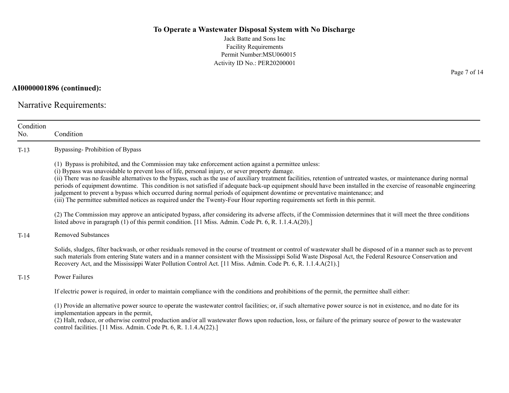Jack Batte and Sons Inc Facility Requirements Permit Number:MSU060015 Activity ID No.: PER20200001

**AI0000001896 (continued):**

Narrative Requirements:

| Condition<br>No. | Condition                                                                                                                                                                                                                                                                                                                                                                                                                                                                                                                                                                                                                                                                                                                                                                                                          |
|------------------|--------------------------------------------------------------------------------------------------------------------------------------------------------------------------------------------------------------------------------------------------------------------------------------------------------------------------------------------------------------------------------------------------------------------------------------------------------------------------------------------------------------------------------------------------------------------------------------------------------------------------------------------------------------------------------------------------------------------------------------------------------------------------------------------------------------------|
| $T-13$           | Bypassing-Prohibition of Bypass                                                                                                                                                                                                                                                                                                                                                                                                                                                                                                                                                                                                                                                                                                                                                                                    |
|                  | (1) Bypass is prohibited, and the Commission may take enforcement action against a permittee unless:<br>(i) Bypass was unavoidable to prevent loss of life, personal injury, or sever property damage.<br>(ii) There was no feasible alternatives to the bypass, such as the use of auxiliary treatment facilities, retention of untreated wastes, or maintenance during normal<br>periods of equipment downtime. This condition is not satisfied if adequate back-up equipment should have been installed in the exercise of reasonable engineering<br>judgement to prevent a bypass which occurred during normal periods of equipment downtime or preventative maintenance; and<br>(iii) The permittee submitted notices as required under the Twenty-Four Hour reporting requirements set forth in this permit. |
|                  | (2) The Commission may approve an anticipated bypass, after considering its adverse affects, if the Commission determines that it will meet the three conditions<br>listed above in paragraph (1) of this permit condition. [11 Miss. Admin. Code Pt. 6, R. 1.1.4.A(20).]                                                                                                                                                                                                                                                                                                                                                                                                                                                                                                                                          |
| $T-14$           | <b>Removed Substances</b>                                                                                                                                                                                                                                                                                                                                                                                                                                                                                                                                                                                                                                                                                                                                                                                          |
|                  | Solids, sludges, filter backwash, or other residuals removed in the course of treatment or control of wastewater shall be disposed of in a manner such as to prevent<br>such materials from entering State waters and in a manner consistent with the Mississippi Solid Waste Disposal Act, the Federal Resource Conservation and<br>Recovery Act, and the Mississippi Water Pollution Control Act. [11 Miss. Admin. Code Pt. 6, R. 1.1.4.A(21).]                                                                                                                                                                                                                                                                                                                                                                  |
| $T-15$           | Power Failures                                                                                                                                                                                                                                                                                                                                                                                                                                                                                                                                                                                                                                                                                                                                                                                                     |
|                  | If electric power is required, in order to maintain compliance with the conditions and prohibitions of the permit, the permittee shall either:                                                                                                                                                                                                                                                                                                                                                                                                                                                                                                                                                                                                                                                                     |
|                  | (1) Provide an alternative power source to operate the wastewater control facilities; or, if such alternative power source is not in existence, and no date for its<br>implementation appears in the permit,<br>(2) Halt, reduce, or otherwise control production and/or all wastewater flows upon reduction, loss, or failure of the primary source of power to the wastewater<br>control facilities. [11 Miss. Admin. Code Pt. 6, R. 1.1.4.A(22).]                                                                                                                                                                                                                                                                                                                                                               |

Page 7 of 14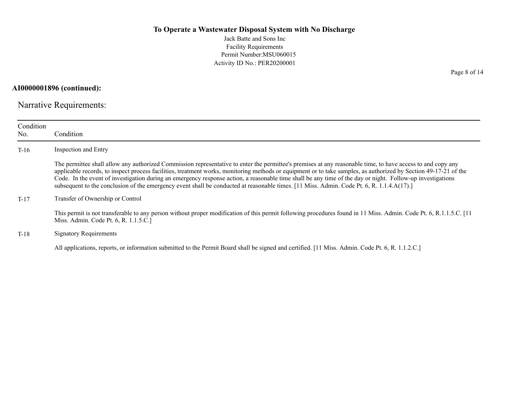Jack Batte and Sons Inc Facility Requirements Permit Number:MSU060015 Activity ID No.: PER20200001

**AI0000001896 (continued):**

Narrative Requirements:

| Condition<br>No. | Condition                                                                                                                                                                                                                                                                                                                                                                                                                                                                                                                                                                                                                                  |
|------------------|--------------------------------------------------------------------------------------------------------------------------------------------------------------------------------------------------------------------------------------------------------------------------------------------------------------------------------------------------------------------------------------------------------------------------------------------------------------------------------------------------------------------------------------------------------------------------------------------------------------------------------------------|
| $T-16$           | Inspection and Entry                                                                                                                                                                                                                                                                                                                                                                                                                                                                                                                                                                                                                       |
|                  | The permittee shall allow any authorized Commission representative to enter the permittee's premises at any reasonable time, to have access to and copy any<br>applicable records, to inspect process facilities, treatment works, monitoring methods or equipment or to take samples, as authorized by Section 49-17-21 of the<br>Code. In the event of investigation during an emergency response action, a reasonable time shall be any time of the day or night. Follow-up investigations<br>subsequent to the conclusion of the emergency event shall be conducted at reasonable times. [11 Miss. Admin. Code Pt. 6, R. 1.1.4.A(17).] |
| $T-17$           | Transfer of Ownership or Control                                                                                                                                                                                                                                                                                                                                                                                                                                                                                                                                                                                                           |
|                  | This permit is not transferable to any person without proper modification of this permit following procedures found in 11 Miss. Admin. Code Pt. 6, R.1.1.5.C. [11<br>Miss. Admin. Code Pt. 6, R. 1.1.5.C.]                                                                                                                                                                                                                                                                                                                                                                                                                                 |
| $T-18$           | <b>Signatory Requirements</b>                                                                                                                                                                                                                                                                                                                                                                                                                                                                                                                                                                                                              |
|                  | All applications, reports, or information submitted to the Permit Board shall be signed and certified. [11 Miss. Admin. Code Pt. 6, R. 1.1.2.C.]                                                                                                                                                                                                                                                                                                                                                                                                                                                                                           |

Page 8 of 14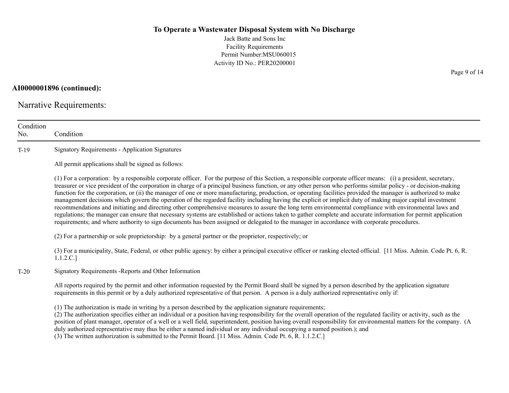Jack Batte and Sons Inc Facility Requirements Permit Number:MSU060015 Activity ID No.: PER20200001

**AI0000001896 (continued):**

Narrative Requirements:

| Condition<br>No. | Condition                                                                                                                                                                                                                                                                                                                                                                                                                                                                                                                                                                                                                                                                                                                                                                                                                                                                                                                                                                                                                                                                                                                                   |
|------------------|---------------------------------------------------------------------------------------------------------------------------------------------------------------------------------------------------------------------------------------------------------------------------------------------------------------------------------------------------------------------------------------------------------------------------------------------------------------------------------------------------------------------------------------------------------------------------------------------------------------------------------------------------------------------------------------------------------------------------------------------------------------------------------------------------------------------------------------------------------------------------------------------------------------------------------------------------------------------------------------------------------------------------------------------------------------------------------------------------------------------------------------------|
| $T-19$           | <b>Signatory Requirements - Application Signatures</b>                                                                                                                                                                                                                                                                                                                                                                                                                                                                                                                                                                                                                                                                                                                                                                                                                                                                                                                                                                                                                                                                                      |
|                  | All permit applications shall be signed as follows:                                                                                                                                                                                                                                                                                                                                                                                                                                                                                                                                                                                                                                                                                                                                                                                                                                                                                                                                                                                                                                                                                         |
|                  | (1) For a corporation: by a responsible corporate officer. For the purpose of this Section, a responsible corporate officer means: (i) a president, secretary,<br>treasurer or vice president of the corporation in charge of a principal business function, or any other person who performs similar policy - or decision-making<br>function for the corporation, or (ii) the manager of one or more manufacturing, production, or operating facilities provided the manager is authorized to make<br>management decisions which govern the operation of the regarded facility including having the explicit or implicit duty of making major capital investment<br>recommendations and initiating and directing other comprehensive measures to assure the long term environmental compliance with environmental laws and<br>regulations; the manager can ensure that necessary systems are established or actions taken to gather complete and accurate information for permit application<br>requirements; and where authority to sign documents has been assigned or delegated to the manager in accordance with corporate procedures. |
|                  | (2) For a partnership or sole proprietorship: by a general partner or the proprietor, respectively; or                                                                                                                                                                                                                                                                                                                                                                                                                                                                                                                                                                                                                                                                                                                                                                                                                                                                                                                                                                                                                                      |
|                  | (3) For a municipality, State, Federal, or other public agency: by either a principal executive officer or ranking elected official. [11 Miss. Admin. Code Pt. 6, R.<br>1.1.2.C.]                                                                                                                                                                                                                                                                                                                                                                                                                                                                                                                                                                                                                                                                                                                                                                                                                                                                                                                                                           |
| $T-20$           | Signatory Requirements - Reports and Other Information                                                                                                                                                                                                                                                                                                                                                                                                                                                                                                                                                                                                                                                                                                                                                                                                                                                                                                                                                                                                                                                                                      |
|                  | All reports required by the permit and other information requested by the Permit Board shall be signed by a person described by the application signature<br>requirements in this permit or by a duly authorized representative of that person. A person is a duly authorized representative only if:                                                                                                                                                                                                                                                                                                                                                                                                                                                                                                                                                                                                                                                                                                                                                                                                                                       |
|                  | (1) The authorization is made in writing by a person described by the application signature requirements;<br>(2) The authorization specifies either an individual or a position having responsibility for the overall operation of the regulated facility or activity, such as the<br>position of plant manager, operator of a well or a well field, superintendent, position having overall responsibility for environmental matters for the company. (A<br>duly authorized representative may thus be either a named individual or any individual occupying a named position.); and<br>(3) The written authorization is submitted to the Permit Board. [11 Miss. Admin. Code Pt. 6, R. 1.1.2.C.]                                                                                                                                                                                                                                                                                                                                                                                                                                          |

Page 9 of 14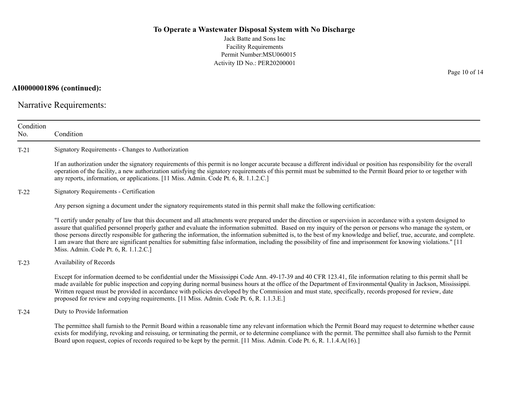Jack Batte and Sons Inc Facility Requirements Permit Number:MSU060015 Activity ID No.: PER20200001

**AI0000001896 (continued):**

Narrative Requirements:

| Condition<br>No. | Condition                                                                                                                                                                                                                                                                                                                                                                                                                                                                                                                                                                                                                                                                                                                |
|------------------|--------------------------------------------------------------------------------------------------------------------------------------------------------------------------------------------------------------------------------------------------------------------------------------------------------------------------------------------------------------------------------------------------------------------------------------------------------------------------------------------------------------------------------------------------------------------------------------------------------------------------------------------------------------------------------------------------------------------------|
| $T-21$           | Signatory Requirements - Changes to Authorization                                                                                                                                                                                                                                                                                                                                                                                                                                                                                                                                                                                                                                                                        |
|                  | If an authorization under the signatory requirements of this permit is no longer accurate because a different individual or position has responsibility for the overall<br>operation of the facility, a new authorization satisfying the signatory requirements of this permit must be submitted to the Permit Board prior to or together with<br>any reports, information, or applications. [11 Miss. Admin. Code Pt. 6, R. 1.1.2.C.]                                                                                                                                                                                                                                                                                   |
| $T-22$           | Signatory Requirements - Certification                                                                                                                                                                                                                                                                                                                                                                                                                                                                                                                                                                                                                                                                                   |
|                  | Any person signing a document under the signatory requirements stated in this permit shall make the following certification:                                                                                                                                                                                                                                                                                                                                                                                                                                                                                                                                                                                             |
|                  | "I certify under penalty of law that this document and all attachments were prepared under the direction or supervision in accordance with a system designed to<br>assure that qualified personnel properly gather and evaluate the information submitted. Based on my inquiry of the person or persons who manage the system, or<br>those persons directly responsible for gathering the information, the information submitted is, to the best of my knowledge and belief, true, accurate, and complete.<br>I am aware that there are significant penalties for submitting false information, including the possibility of fine and imprisonment for knowing violations." [11<br>Miss. Admin. Code Pt. 6, R. 1.1.2.C.] |
| $T-23$           | Availability of Records                                                                                                                                                                                                                                                                                                                                                                                                                                                                                                                                                                                                                                                                                                  |
|                  | Except for information deemed to be confidential under the Mississippi Code Ann. 49-17-39 and 40 CFR 123.41, file information relating to this permit shall be<br>made available for public inspection and copying during normal business hours at the office of the Department of Environmental Quality in Jackson, Mississippi.<br>Written request must be provided in accordance with policies developed by the Commission and must state, specifically, records proposed for review, date<br>proposed for review and copying requirements. [11 Miss. Admin. Code Pt. 6, R. 1.1.3.E.]                                                                                                                                 |
| $T-24$           | Duty to Provide Information                                                                                                                                                                                                                                                                                                                                                                                                                                                                                                                                                                                                                                                                                              |
|                  | The permittee shall furnish to the Permit Board within a reasonable time any relevant information which the Permit Board may request to determine whether cause<br>exists for modifying, revoking and reissuing, or terminating the permit, or to determine compliance with the permit. The permittee shall also furnish to the Permit<br>Board upon request, copies of records required to be kept by the permit. [11 Miss. Admin. Code Pt. 6, R. 1.1.4.A(16).]                                                                                                                                                                                                                                                         |

Page 10 of 14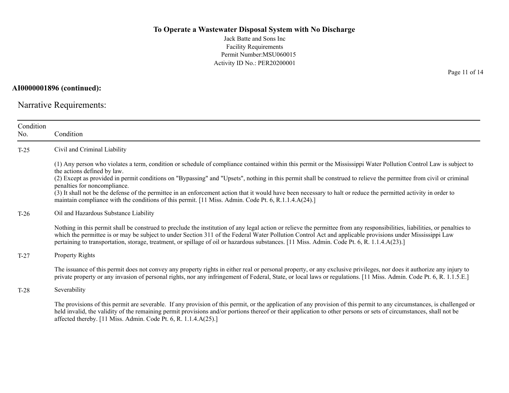Jack Batte and Sons Inc Facility Requirements Permit Number:MSU060015 Activity ID No.: PER20200001

**AI0000001896 (continued):**

Narrative Requirements:

| Condition<br>No. | Condition                                                                                                                                                                                                                                                                                                                                                                                                                                                                             |  |  |
|------------------|---------------------------------------------------------------------------------------------------------------------------------------------------------------------------------------------------------------------------------------------------------------------------------------------------------------------------------------------------------------------------------------------------------------------------------------------------------------------------------------|--|--|
| $T-25$           | Civil and Criminal Liability                                                                                                                                                                                                                                                                                                                                                                                                                                                          |  |  |
|                  | (1) Any person who violates a term, condition or schedule of compliance contained within this permit or the Mississippi Water Pollution Control Law is subject to<br>the actions defined by law.                                                                                                                                                                                                                                                                                      |  |  |
|                  | (2) Except as provided in permit conditions on "Bypassing" and "Upsets", nothing in this permit shall be construed to relieve the permittee from civil or criminal<br>penalties for noncompliance.                                                                                                                                                                                                                                                                                    |  |  |
|                  | (3) It shall not be the defense of the permittee in an enforcement action that it would have been necessary to halt or reduce the permitted activity in order to<br>maintain compliance with the conditions of this permit. [11 Miss. Admin. Code Pt. 6, R.1.1.4.A(24).]                                                                                                                                                                                                              |  |  |
| $T-26$           | Oil and Hazardous Substance Liability                                                                                                                                                                                                                                                                                                                                                                                                                                                 |  |  |
|                  | Nothing in this permit shall be construed to preclude the institution of any legal action or relieve the permittee from any responsibilities, liabilities, or penalties to<br>which the permittee is or may be subject to under Section 311 of the Federal Water Pollution Control Act and applicable provisions under Mississippi Law<br>pertaining to transportation, storage, treatment, or spillage of oil or hazardous substances. [11 Miss. Admin. Code Pt. 6, R. 1.1.4.A(23).] |  |  |
| $T-27$           | Property Rights                                                                                                                                                                                                                                                                                                                                                                                                                                                                       |  |  |
|                  | The issuance of this permit does not convey any property rights in either real or personal property, or any exclusive privileges, nor does it authorize any injury to<br>private property or any invasion of personal rights, nor any infringement of Federal, State, or local laws or regulations. [11 Miss. Admin. Code Pt. 6, R. 1.1.5.E.]                                                                                                                                         |  |  |
| $T-28$           | Severability                                                                                                                                                                                                                                                                                                                                                                                                                                                                          |  |  |
|                  | The provisions of this permit are severable. If any provision of this permit, or the application of any provision of this permit to any circumstances, is challenged or<br>held invalid, the validity of the remaining permit provisions and/or portions thereof or their application to other persons or sets of circumstances, shall not be<br>affected thereby. [11 Miss. Admin. Code Pt. 6, R. 1.1.4.A(25).]                                                                      |  |  |

Page 11 of 14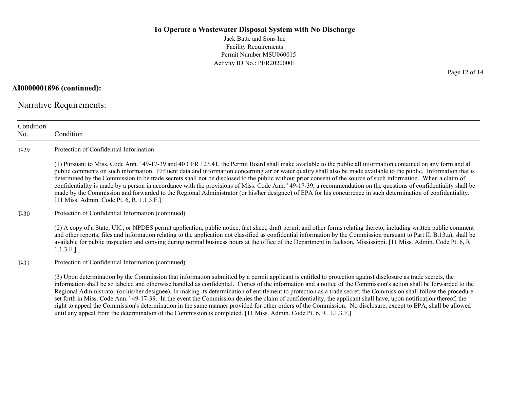Jack Batte and Sons Inc Facility Requirements Permit Number:MSU060015 Activity ID No.: PER20200001

**AI0000001896 (continued):**

Narrative Requirements:

| Condition<br>No. | Condition                                                                                                                                                                                                                                                                                                                                                                                                                                                                                                                                                                                                                                                                                                                                                                                                                                                                                 |
|------------------|-------------------------------------------------------------------------------------------------------------------------------------------------------------------------------------------------------------------------------------------------------------------------------------------------------------------------------------------------------------------------------------------------------------------------------------------------------------------------------------------------------------------------------------------------------------------------------------------------------------------------------------------------------------------------------------------------------------------------------------------------------------------------------------------------------------------------------------------------------------------------------------------|
| $T-29$           | Protection of Confidential Information                                                                                                                                                                                                                                                                                                                                                                                                                                                                                                                                                                                                                                                                                                                                                                                                                                                    |
|                  | (1) Pursuant to Miss. Code Ann. '49-17-39 and 40 CFR 123.41, the Permit Board shall make available to the public all information contained on any form and all<br>public comments on such information. Effluent data and information concerning air or water quality shall also be made available to the public. Information that is<br>determined by the Commission to be trade secrets shall not be disclosed to the public without prior consent of the source of such information. When a claim of<br>confidentiality is made by a person in accordance with the provisions of Miss. Code Ann. '49-17-39, a recommendation on the questions of confidentiality shall be<br>made by the Commission and forwarded to the Regional Administrator (or his/her designee) of EPA for his concurrence in such determination of confidentiality.<br>[11 Miss. Admin. Code Pt. 6, R. 1.1.3.F.] |
| $T-30$           | Protection of Confidential Information (continued)                                                                                                                                                                                                                                                                                                                                                                                                                                                                                                                                                                                                                                                                                                                                                                                                                                        |
|                  | (2) A copy of a State, UIC, or NPDES permit application, public notice, fact sheet, draft permit and other forms relating thereto, including written public comment<br>and other reports, files and information relating to the application not classified as confidential information by the Commission pursuant to Part II. B.13.a), shall be<br>available for public inspection and copying during normal business hours at the office of the Department in Jackson, Mississippi. [11 Miss. Admin. Code Pt. 6, R.<br>1.1.3.F.]                                                                                                                                                                                                                                                                                                                                                         |
| $T-31$           | Protection of Confidential Information (continued)                                                                                                                                                                                                                                                                                                                                                                                                                                                                                                                                                                                                                                                                                                                                                                                                                                        |
|                  | (3) Upon determination by the Commission that information submitted by a permit applicant is entitled to protection against disclosure as trade secrets, the<br>information shall be so labeled and otherwise handled as confidential. Copies of the information and a notice of the Commission's action shall be forwarded to the<br>Regional Administrator (or his/her designee). In making its determination of entitlement to protection as a trade secret, the Commission shall follow the procedure<br>set forth in Miss. Code Ann. '49-17-39. In the event the Commission denies the claim of confidentiality, the applicant shall have, upon notification thereof, the<br>right to appeal the Commission's determination in the same manner provided for other orders of the Commission. No disclosure, except to EPA, shall be allowed                                           |

until any appeal from the determination of the Commission is completed. [11 Miss. Admin. Code Pt. 6, R. 1.1.3.F.]

Page 12 of 14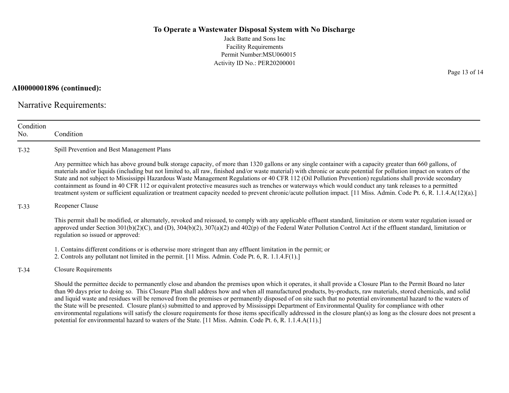Jack Batte and Sons Inc Facility Requirements Permit Number:MSU060015 Activity ID No.: PER20200001

**AI0000001896 (continued):**

Narrative Requirements:

| Condition<br>No. | Condition                                                                                                                                                                                                                                                                                                                                                                                                                                                                                                                                                                                                                                                                                                                                                                                                                              |  |  |
|------------------|----------------------------------------------------------------------------------------------------------------------------------------------------------------------------------------------------------------------------------------------------------------------------------------------------------------------------------------------------------------------------------------------------------------------------------------------------------------------------------------------------------------------------------------------------------------------------------------------------------------------------------------------------------------------------------------------------------------------------------------------------------------------------------------------------------------------------------------|--|--|
| $T-32$           | Spill Prevention and Best Management Plans                                                                                                                                                                                                                                                                                                                                                                                                                                                                                                                                                                                                                                                                                                                                                                                             |  |  |
|                  | Any permittee which has above ground bulk storage capacity, of more than 1320 gallons or any single container with a capacity greater than 660 gallons, of<br>materials and/or liquids (including but not limited to, all raw, finished and/or waste material) with chronic or acute potential for pollution impact on waters of the<br>State and not subject to Mississippi Hazardous Waste Management Regulations or 40 CFR 112 (Oil Pollution Prevention) regulations shall provide secondary<br>containment as found in 40 CFR 112 or equivalent protective measures such as trenches or waterways which would conduct any tank releases to a permitted<br>treatment system or sufficient equalization or treatment capacity needed to prevent chronic/acute pollution impact. [11 Miss. Admin. Code Pt. 6, R. 1.1.4.A(12)(a).]    |  |  |
| $T-33$           | Reopener Clause                                                                                                                                                                                                                                                                                                                                                                                                                                                                                                                                                                                                                                                                                                                                                                                                                        |  |  |
|                  | This permit shall be modified, or alternately, revoked and reissued, to comply with any applicable effluent standard, limitation or storm water regulation issued or<br>approved under Section $301(b)(2)(C)$ , and (D), $304(b)(2)$ , $307(a)(2)$ and $402(p)$ of the Federal Water Pollution Control Act if the effluent standard, limitation or<br>regulation so issued or approved:                                                                                                                                                                                                                                                                                                                                                                                                                                                |  |  |
|                  | 1. Contains different conditions or is otherwise more stringent than any effluent limitation in the permit; or<br>2. Controls any pollutant not limited in the permit. [11 Miss. Admin. Code Pt. 6, R. 1.1.4.F(1).]                                                                                                                                                                                                                                                                                                                                                                                                                                                                                                                                                                                                                    |  |  |
| $T-34$           | <b>Closure Requirements</b>                                                                                                                                                                                                                                                                                                                                                                                                                                                                                                                                                                                                                                                                                                                                                                                                            |  |  |
|                  | Should the permittee decide to permanently close and abandon the premises upon which it operates, it shall provide a Closure Plan to the Permit Board no later<br>than 90 days prior to doing so. This Closure Plan shall address how and when all manufactured products, by-products, raw materials, stored chemicals, and solid<br>and liquid waste and residues will be removed from the premises or permanently disposed of on site such that no potential environmental hazard to the waters of<br>the State will be presented. Closure plan(s) submitted to and approved by Mississippi Department of Environmental Quality for compliance with other<br>environmental regulations will satisfy the closure requirements for those items specifically addressed in the closure plan(s) as long as the closure does not present a |  |  |

potential for environmental hazard to waters of the State. [11 Miss. Admin. Code Pt. 6, R. 1.1.4.A(11).]

Page 13 of 14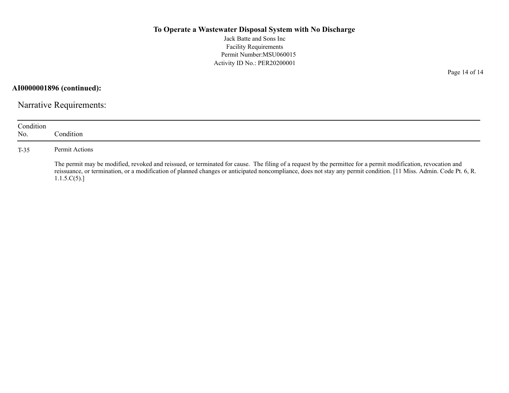Jack Batte and Sons Inc Facility Requirements Permit Number:MSU060015 Activity ID No.: PER20200001

**AI0000001896 (continued):**

Narrative Requirements:

| Condition<br>No. | Condition                                                                                                                                                                                                                                                                                                                                          |
|------------------|----------------------------------------------------------------------------------------------------------------------------------------------------------------------------------------------------------------------------------------------------------------------------------------------------------------------------------------------------|
| $T-35$           | Permit Actions                                                                                                                                                                                                                                                                                                                                     |
|                  | The permit may be modified, revoked and reissued, or terminated for cause. The filing of a request by the permittee for a permit modification, revocation and<br>reissuance, or termination, or a modification of planned changes or anticipated noncompliance, does not stay any permit condition. [11 Miss. Admin. Code Pt. 6, R.<br>1.1.5.C(5). |

Page 14 of 14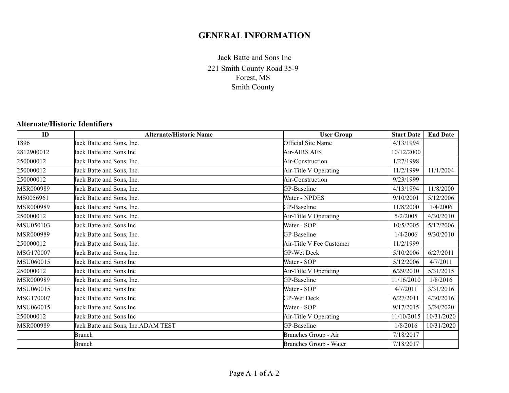# **GENERAL INFORMATION**

221 Smith County Road 35-9 Forest, MS Smith County Jack Batte and Sons Inc

#### **Alternate/Historic Identifiers**

| ID         | <b>Alternate/Historic Name</b>     | <b>User Group</b>        | <b>Start Date</b> | <b>End Date</b> |
|------------|------------------------------------|--------------------------|-------------------|-----------------|
| 1896       | Jack Batte and Sons, Inc.          | Official Site Name       | 4/13/1994         |                 |
| 2812900012 | Jack Batte and Sons Inc            | Air-AIRS AFS             | 10/12/2000        |                 |
| 250000012  | Jack Batte and Sons, Inc.          | Air-Construction         | 1/27/1998         |                 |
| 250000012  | Jack Batte and Sons, Inc.          | Air-Title V Operating    | 11/2/1999         | 11/1/2004       |
| 250000012  | Jack Batte and Sons, Inc.          | Air-Construction         | 9/23/1999         |                 |
| MSR000989  | Jack Batte and Sons, Inc.          | GP-Baseline              | 4/13/1994         | 11/8/2000       |
| MS0056961  | Jack Batte and Sons, Inc.          | Water - NPDES            | 9/10/2001         | 5/12/2006       |
| MSR000989  | Jack Batte and Sons, Inc.          | GP-Baseline              | 11/8/2000         | 1/4/2006        |
| 250000012  | Jack Batte and Sons, Inc.          | Air-Title V Operating    | 5/2/2005          | 4/30/2010       |
| MSU050103  | Jack Batte and Sons Inc            | Water - SOP              | 10/5/2005         | 5/12/2006       |
| MSR000989  | Jack Batte and Sons, Inc.          | GP-Baseline              | 1/4/2006          | 9/30/2010       |
| 250000012  | Jack Batte and Sons, Inc.          | Air-Title V Fee Customer | 11/2/1999         |                 |
| MSG170007  | Jack Batte and Sons, Inc.          | <b>GP-Wet Deck</b>       | 5/10/2006         | 6/27/2011       |
| MSU060015  | Jack Batte and Sons Inc            | Water - SOP              | 5/12/2006         | 4/7/2011        |
| 250000012  | Jack Batte and Sons Inc            | Air-Title V Operating    | 6/29/2010         | 5/31/2015       |
| MSR000989  | Jack Batte and Sons, Inc.          | GP-Baseline              | 11/16/2010        | 1/8/2016        |
| MSU060015  | Jack Batte and Sons Inc            | Water - SOP              | 4/7/2011          | 3/31/2016       |
| MSG170007  | Jack Batte and Sons Inc            | <b>GP-Wet Deck</b>       | 6/27/2011         | 4/30/2016       |
| MSU060015  | Jack Batte and Sons Inc            | Water - SOP              | 9/17/2015         | 3/24/2020       |
| 250000012  | Jack Batte and Sons Inc            | Air-Title V Operating    | 11/10/2015        | 10/31/2020      |
| MSR000989  | Jack Batte and Sons, Inc.ADAM TEST | GP-Baseline              | 1/8/2016          | 10/31/2020      |
|            | <b>Branch</b>                      | Branches Group - Air     | 7/18/2017         |                 |
|            | Branch                             | Branches Group - Water   | 7/18/2017         |                 |